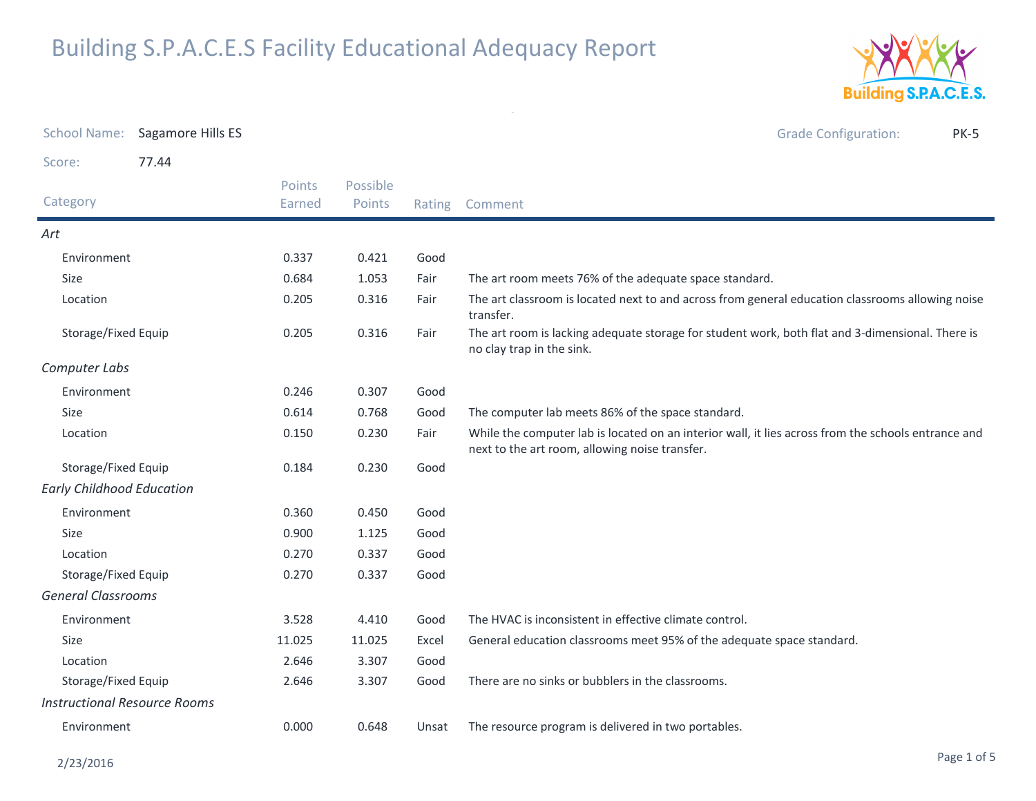

| <b>School Name:</b>                 | Sagamore Hills ES |                  |                    |        | <b>Grade Configuration:</b><br><b>PK-5</b>                                                                                                            |  |
|-------------------------------------|-------------------|------------------|--------------------|--------|-------------------------------------------------------------------------------------------------------------------------------------------------------|--|
| Score:                              | 77.44             |                  |                    |        |                                                                                                                                                       |  |
| Category                            |                   | Points<br>Earned | Possible<br>Points | Rating | Comment                                                                                                                                               |  |
| Art                                 |                   |                  |                    |        |                                                                                                                                                       |  |
| Environment                         |                   | 0.337            | 0.421              | Good   |                                                                                                                                                       |  |
| Size                                |                   | 0.684            | 1.053              | Fair   | The art room meets 76% of the adequate space standard.                                                                                                |  |
| Location                            |                   | 0.205            | 0.316              | Fair   | The art classroom is located next to and across from general education classrooms allowing noise<br>transfer.                                         |  |
| Storage/Fixed Equip                 |                   | 0.205            | 0.316              | Fair   | The art room is lacking adequate storage for student work, both flat and 3-dimensional. There is<br>no clay trap in the sink.                         |  |
| Computer Labs                       |                   |                  |                    |        |                                                                                                                                                       |  |
| Environment                         |                   | 0.246            | 0.307              | Good   |                                                                                                                                                       |  |
| Size                                |                   | 0.614            | 0.768              | Good   | The computer lab meets 86% of the space standard.                                                                                                     |  |
| Location                            |                   | 0.150            | 0.230              | Fair   | While the computer lab is located on an interior wall, it lies across from the schools entrance and<br>next to the art room, allowing noise transfer. |  |
| Storage/Fixed Equip                 |                   | 0.184            | 0.230              | Good   |                                                                                                                                                       |  |
| <b>Early Childhood Education</b>    |                   |                  |                    |        |                                                                                                                                                       |  |
| Environment                         |                   | 0.360            | 0.450              | Good   |                                                                                                                                                       |  |
| Size                                |                   | 0.900            | 1.125              | Good   |                                                                                                                                                       |  |
| Location                            |                   | 0.270            | 0.337              | Good   |                                                                                                                                                       |  |
| Storage/Fixed Equip                 |                   | 0.270            | 0.337              | Good   |                                                                                                                                                       |  |
| <b>General Classrooms</b>           |                   |                  |                    |        |                                                                                                                                                       |  |
| Environment                         |                   | 3.528            | 4.410              | Good   | The HVAC is inconsistent in effective climate control.                                                                                                |  |
| Size                                |                   | 11.025           | 11.025             | Excel  | General education classrooms meet 95% of the adequate space standard.                                                                                 |  |
| Location                            |                   | 2.646            | 3.307              | Good   |                                                                                                                                                       |  |
| Storage/Fixed Equip                 |                   | 2.646            | 3.307              | Good   | There are no sinks or bubblers in the classrooms.                                                                                                     |  |
| <b>Instructional Resource Rooms</b> |                   |                  |                    |        |                                                                                                                                                       |  |
| Environment                         |                   | 0.000            | 0.648              | Unsat  | The resource program is delivered in two portables.                                                                                                   |  |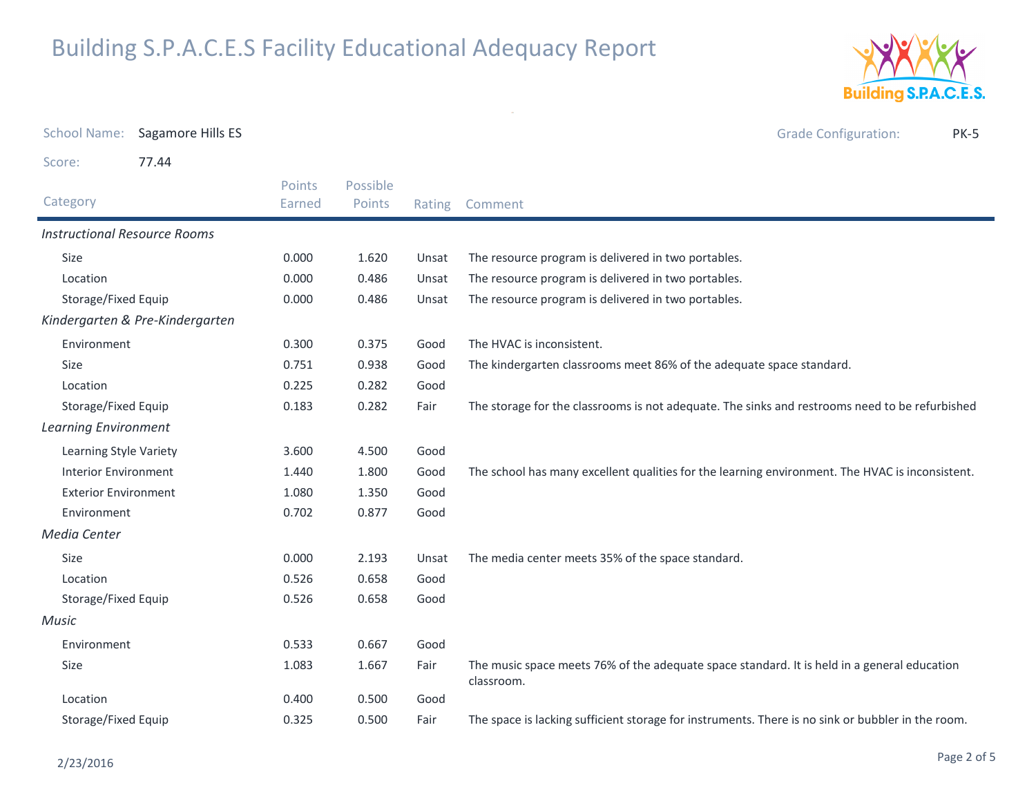

| <b>School Name:</b>                 | Sagamore Hills ES               |                  |                    |        | <b>Grade Configuration:</b><br><b>PK-5</b>                                                                |
|-------------------------------------|---------------------------------|------------------|--------------------|--------|-----------------------------------------------------------------------------------------------------------|
| Score:                              | 77.44                           |                  |                    |        |                                                                                                           |
| Category                            |                                 | Points<br>Earned | Possible<br>Points | Rating | Comment                                                                                                   |
| <b>Instructional Resource Rooms</b> |                                 |                  |                    |        |                                                                                                           |
| Size                                |                                 | 0.000            | 1.620              | Unsat  | The resource program is delivered in two portables.                                                       |
| Location                            |                                 | 0.000            | 0.486              | Unsat  | The resource program is delivered in two portables.                                                       |
| Storage/Fixed Equip                 |                                 | 0.000            | 0.486              | Unsat  | The resource program is delivered in two portables.                                                       |
|                                     | Kindergarten & Pre-Kindergarten |                  |                    |        |                                                                                                           |
| Environment                         |                                 | 0.300            | 0.375              | Good   | The HVAC is inconsistent.                                                                                 |
| Size                                |                                 | 0.751            | 0.938              | Good   | The kindergarten classrooms meet 86% of the adequate space standard.                                      |
| Location                            |                                 | 0.225            | 0.282              | Good   |                                                                                                           |
| Storage/Fixed Equip                 |                                 | 0.183            | 0.282              | Fair   | The storage for the classrooms is not adequate. The sinks and restrooms need to be refurbished            |
| <b>Learning Environment</b>         |                                 |                  |                    |        |                                                                                                           |
| Learning Style Variety              |                                 | 3.600            | 4.500              | Good   |                                                                                                           |
| <b>Interior Environment</b>         |                                 | 1.440            | 1.800              | Good   | The school has many excellent qualities for the learning environment. The HVAC is inconsistent.           |
| <b>Exterior Environment</b>         |                                 | 1.080            | 1.350              | Good   |                                                                                                           |
| Environment                         |                                 | 0.702            | 0.877              | Good   |                                                                                                           |
| Media Center                        |                                 |                  |                    |        |                                                                                                           |
| Size                                |                                 | 0.000            | 2.193              | Unsat  | The media center meets 35% of the space standard.                                                         |
| Location                            |                                 | 0.526            | 0.658              | Good   |                                                                                                           |
| Storage/Fixed Equip                 |                                 | 0.526            | 0.658              | Good   |                                                                                                           |
| Music                               |                                 |                  |                    |        |                                                                                                           |
| Environment                         |                                 | 0.533            | 0.667              | Good   |                                                                                                           |
| Size                                |                                 | 1.083            | 1.667              | Fair   | The music space meets 76% of the adequate space standard. It is held in a general education<br>classroom. |
| Location                            |                                 | 0.400            | 0.500              | Good   |                                                                                                           |
| Storage/Fixed Equip                 |                                 | 0.325            | 0.500              | Fair   | The space is lacking sufficient storage for instruments. There is no sink or bubbler in the room.         |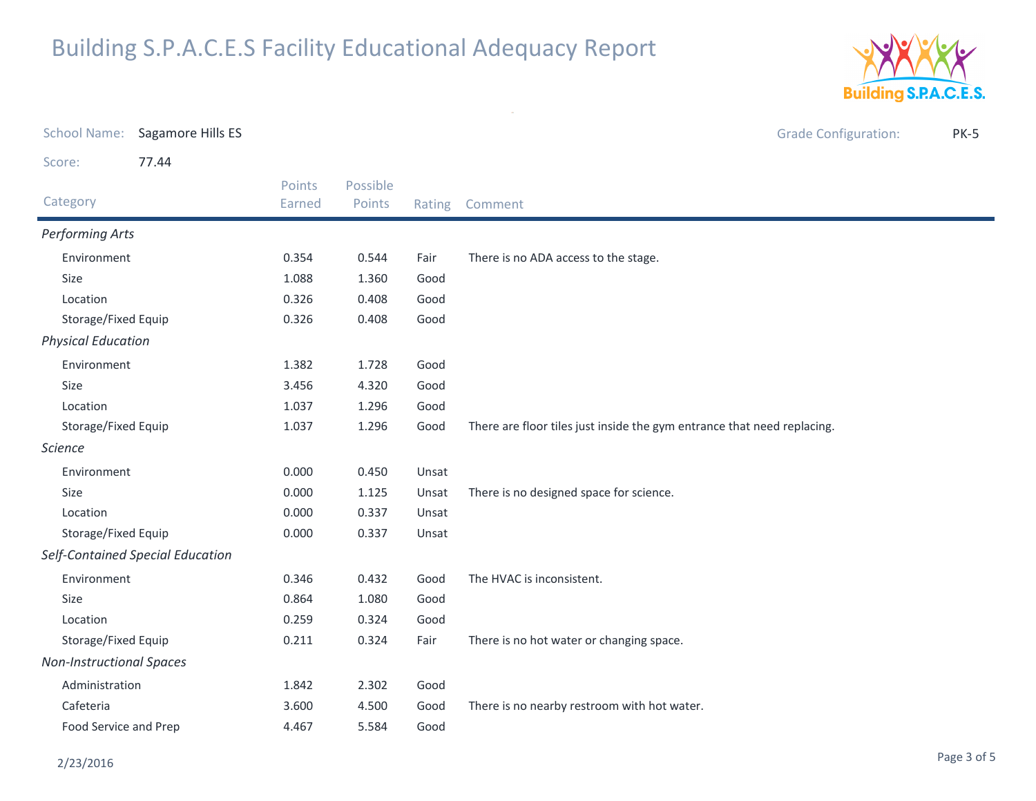

|                                  | School Name: Sagamore Hills ES |                  |                    |        | <b>Grade Configuration:</b><br><b>PK-5</b>                              |
|----------------------------------|--------------------------------|------------------|--------------------|--------|-------------------------------------------------------------------------|
| Score:                           | 77.44                          |                  |                    |        |                                                                         |
| Category                         |                                | Points<br>Earned | Possible<br>Points | Rating | Comment                                                                 |
| Performing Arts                  |                                |                  |                    |        |                                                                         |
| Environment                      |                                | 0.354            | 0.544              | Fair   | There is no ADA access to the stage.                                    |
| Size                             |                                | 1.088            | 1.360              | Good   |                                                                         |
| Location                         |                                | 0.326            | 0.408              | Good   |                                                                         |
| Storage/Fixed Equip              |                                | 0.326            | 0.408              | Good   |                                                                         |
| <b>Physical Education</b>        |                                |                  |                    |        |                                                                         |
| Environment                      |                                | 1.382            | 1.728              | Good   |                                                                         |
| Size                             |                                | 3.456            | 4.320              | Good   |                                                                         |
| Location                         |                                | 1.037            | 1.296              | Good   |                                                                         |
| Storage/Fixed Equip              |                                | 1.037            | 1.296              | Good   | There are floor tiles just inside the gym entrance that need replacing. |
| <b>Science</b>                   |                                |                  |                    |        |                                                                         |
| Environment                      |                                | 0.000            | 0.450              | Unsat  |                                                                         |
| Size                             |                                | 0.000            | 1.125              | Unsat  | There is no designed space for science.                                 |
| Location                         |                                | 0.000            | 0.337              | Unsat  |                                                                         |
| Storage/Fixed Equip              |                                | 0.000            | 0.337              | Unsat  |                                                                         |
| Self-Contained Special Education |                                |                  |                    |        |                                                                         |
| Environment                      |                                | 0.346            | 0.432              | Good   | The HVAC is inconsistent.                                               |
| Size                             |                                | 0.864            | 1.080              | Good   |                                                                         |
| Location                         |                                | 0.259            | 0.324              | Good   |                                                                         |
| Storage/Fixed Equip              |                                | 0.211            | 0.324              | Fair   | There is no hot water or changing space.                                |
| <b>Non-Instructional Spaces</b>  |                                |                  |                    |        |                                                                         |
| Administration                   |                                | 1.842            | 2.302              | Good   |                                                                         |
| Cafeteria                        |                                | 3.600            | 4.500              | Good   | There is no nearby restroom with hot water.                             |
| Food Service and Prep            |                                | 4.467            | 5.584              | Good   |                                                                         |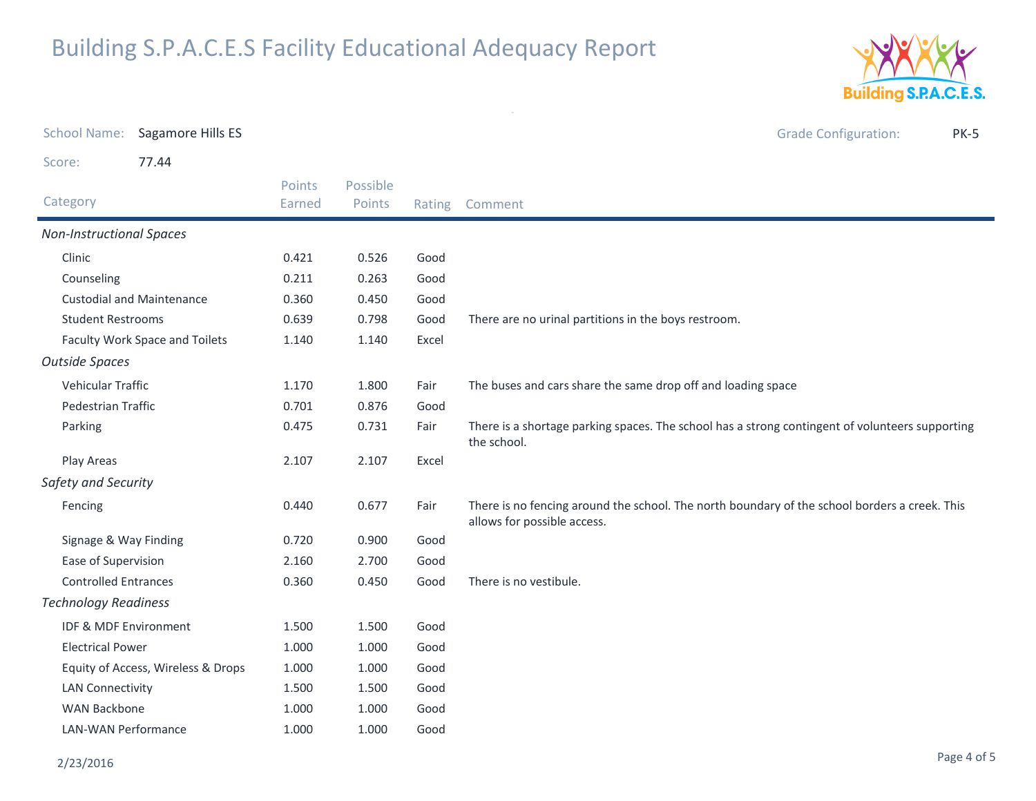

| <b>School Name:</b>                | Sagamore Hills ES                |                  |                    |       | <b>Grade Configuration:</b><br><b>PK-5</b>                                                                                   |  |
|------------------------------------|----------------------------------|------------------|--------------------|-------|------------------------------------------------------------------------------------------------------------------------------|--|
| Score:                             | 77.44                            |                  |                    |       |                                                                                                                              |  |
| Category                           |                                  | Points<br>Earned | Possible<br>Points |       | Rating Comment                                                                                                               |  |
| <b>Non-Instructional Spaces</b>    |                                  |                  |                    |       |                                                                                                                              |  |
| Clinic                             |                                  | 0.421            | 0.526              | Good  |                                                                                                                              |  |
| Counseling                         |                                  | 0.211            | 0.263              | Good  |                                                                                                                              |  |
|                                    | <b>Custodial and Maintenance</b> | 0.360            | 0.450              | Good  |                                                                                                                              |  |
| <b>Student Restrooms</b>           |                                  | 0.639            | 0.798              | Good  | There are no urinal partitions in the boys restroom.                                                                         |  |
| Faculty Work Space and Toilets     |                                  | 1.140            | 1.140              | Excel |                                                                                                                              |  |
| <b>Outside Spaces</b>              |                                  |                  |                    |       |                                                                                                                              |  |
| Vehicular Traffic                  |                                  | 1.170            | 1.800              | Fair  | The buses and cars share the same drop off and loading space                                                                 |  |
| <b>Pedestrian Traffic</b>          |                                  | 0.701            | 0.876              | Good  |                                                                                                                              |  |
| Parking                            |                                  | 0.475            | 0.731              | Fair  | There is a shortage parking spaces. The school has a strong contingent of volunteers supporting<br>the school.               |  |
| Play Areas                         |                                  | 2.107            | 2.107              | Excel |                                                                                                                              |  |
| Safety and Security                |                                  |                  |                    |       |                                                                                                                              |  |
| Fencing                            |                                  | 0.440            | 0.677              | Fair  | There is no fencing around the school. The north boundary of the school borders a creek. This<br>allows for possible access. |  |
| Signage & Way Finding              |                                  | 0.720            | 0.900              | Good  |                                                                                                                              |  |
| Ease of Supervision                |                                  | 2.160            | 2.700              | Good  |                                                                                                                              |  |
| <b>Controlled Entrances</b>        |                                  | 0.360            | 0.450              | Good  | There is no vestibule.                                                                                                       |  |
| <b>Technology Readiness</b>        |                                  |                  |                    |       |                                                                                                                              |  |
| IDF & MDF Environment              |                                  | 1.500            | 1.500              | Good  |                                                                                                                              |  |
| <b>Electrical Power</b>            |                                  | 1.000            | 1.000              | Good  |                                                                                                                              |  |
| Equity of Access, Wireless & Drops |                                  | 1.000            | 1.000              | Good  |                                                                                                                              |  |
| <b>LAN Connectivity</b>            |                                  | 1.500            | 1.500              | Good  |                                                                                                                              |  |
| <b>WAN Backbone</b>                |                                  | 1.000            | 1.000              | Good  |                                                                                                                              |  |
| <b>LAN-WAN Performance</b>         |                                  | 1.000            | 1.000              | Good  |                                                                                                                              |  |